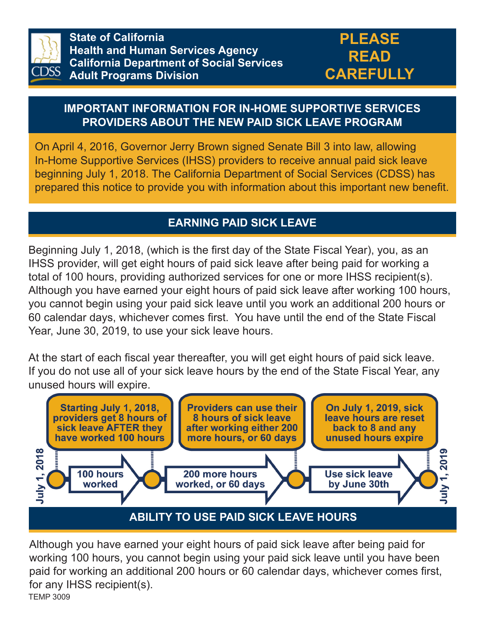

**State of California Health and Human Services Agency California Department of Social Services Adult Programs Division**

#### **IMPORTANT INFORMATION FOR IN-HOME SUPPORTIVE SERVICES PROVIDERS ABOUT THE NEW PAID SICK LEAVE PROGRAM**

On April 4, 2016, Governor Jerry Brown signed Senate Bill 3 into law, allowing In-Home Supportive Services (IHSS) providers to receive annual paid sick leave beginning July 1, 2018. The California Department of Social Services (CDSS) has prepared this notice to provide you with information about this important new benefit.

### **EARNING PAID SICK LEAVE**

Beginning July 1, 2018, (which is the first day of the State Fiscal Year), you, as an IHSS provider, will get eight hours of paid sick leave after being paid for working a total of 100 hours, providing authorized services for one or more IHSS recipient(s). Although you have earned your eight hours of paid sick leave after working 100 hours, you cannot begin using your paid sick leave until you work an additional 200 hours or 60 calendar days, whichever comes first. You have until the end of the State Fiscal Year, June 30, 2019, to use your sick leave hours.

At the start of each fiscal year thereafter, you will get eight hours of paid sick leave. If you do not use all of your sick leave hours by the end of the State Fiscal Year, any unused hours will expire.



TEMP 3009 Although you have earned your eight hours of paid sick leave after being paid for working 100 hours, you cannot begin using your paid sick leave until you have been paid for working an additional 200 hours or 60 calendar days, whichever comes first, for any IHSS recipient(s).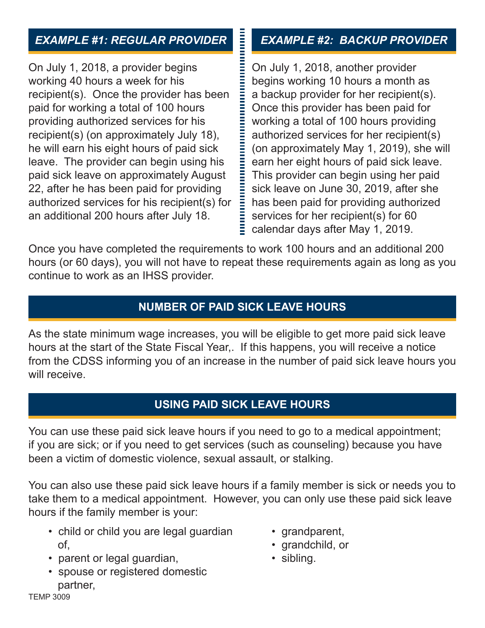# *EXAMPLE #1: REGULAR PROVIDER*

On July 1, 2018, a provider begins working 40 hours a week for his recipient(s). Once the provider has been paid for working a total of 100 hours providing authorized services for his recipient(s) (on approximately July 18), he will earn his eight hours of paid sick leave. The provider can begin using his paid sick leave on approximately August 22, after he has been paid for providing authorized services for his recipient(s) for an additional 200 hours after July 18.

# *EXAMPLE #2: BACKUP PROVIDER*

On July 1, 2018, another provider begins working 10 hours a month as a backup provider for her recipient(s). Once this provider has been paid for working a total of 100 hours providing authorized services for her recipient(s) (on approximately May 1, 2019), she will earn her eight hours of paid sick leave. This provider can begin using her paid sick leave on June 30, 2019, after she has been paid for providing authorized services for her recipient(s) for 60  $\equiv$  calendar days after May 1, 2019.

Once you have completed the requirements to work 100 hours and an additional 200 hours (or 60 days), you will not have to repeat these requirements again as long as you continue to work as an IHSS provider.

**The Second Property** 

## **NUMBER OF PAID SICK LEAVE HOURS**

As the state minimum wage increases, you will be eligible to get more paid sick leave hours at the start of the State Fiscal Year,. If this happens, you will receive a notice from the CDSS informing you of an increase in the number of paid sick leave hours you will receive.

## **USING PAID SICK LEAVE HOURS**

You can use these paid sick leave hours if you need to go to a medical appointment; if you are sick; or if you need to get services (such as counseling) because you have been a victim of domestic violence, sexual assault, or stalking.

You can also use these paid sick leave hours if a family member is sick or needs you to take them to a medical appointment. However, you can only use these paid sick leave hours if the family member is your:

- child or child you are legal guardian of,
- parent or legal guardian,
- spouse or registered domestic partner,
- grandparent,
- grandchild, or
- sibling.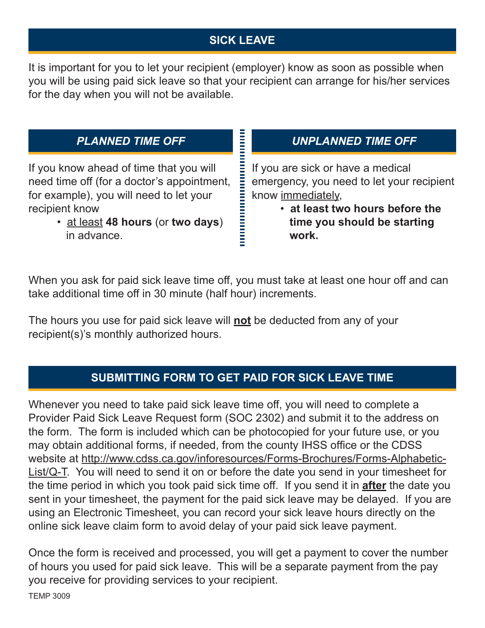# **SICK LEAVE**

It is important for you to let your recipient (employer) know as soon as possible when you will be using paid sick leave so that your recipient can arrange for his/her services for the day when you will not be available.

#### *PLANNED TIME OFF*

If you know ahead of time that you will need time off (for a doctor's appointment, for example), you will need to let your recipient know

> • at least **48 hours** (or **two days**) in advance.

#### *UNPLANNED TIME OFF*

If you are sick or have a medical emergency, you need to let your recipient know immediately,

> • **at least two hours before the time you should be starting work.**

When you ask for paid sick leave time off, you must take at least one hour off and can take additional time off in 30 minute (half hour) increments.

The hours you use for paid sick leave will **not** be deducted from any of your recipient(s)'s monthly authorized hours.

#### **SUBMITTING FORM TO GET PAID FOR SICK LEAVE TIME**

Whenever you need to take paid sick leave time off, you will need to complete a Provider Paid Sick Leave Request form (SOC 2302) and submit it to the address on the form. The form is included which can be photocopied for your future use, or you may obtain additional forms, if needed, from the county IHSS office or the CDSS website at http://www.cdss.ca.gov/inforesources/Forms-Brochures/Forms-Alphabetic-List/Q-T. You will need to send it on or before the date you send in your timesheet for the time period in which you took paid sick time off. If you send it in **after** the date you sent in your timesheet, the payment for the paid sick leave may be delayed. If you are using an Electronic Timesheet, you can record your sick leave hours directly on the online sick leave claim form to avoid delay of your paid sick leave payment.

Once the form is received and processed, you will get a payment to cover the number of hours you used for paid sick leave. This will be a separate payment from the pay you receive for providing services to your recipient.

TEMP 3009